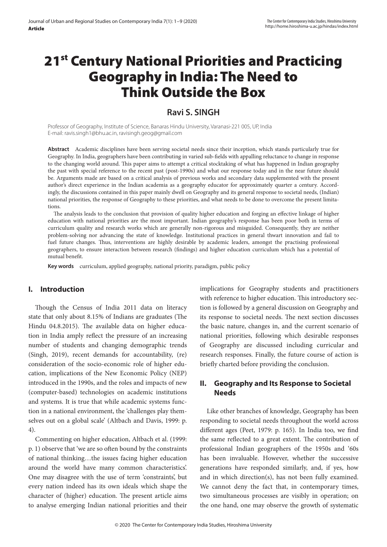# 21<sup>st</sup> Century National Priorities and Practicing Geography in India: The Need to Think Outside the Box

## **Ravi S. SINGH**

Professor of Geography, Institute of Science, Banaras Hindu University, Varanasi-221 005, UP, India E-mail: ravis.singh1@bhu.ac.in, ravisingh.geog@gmail.com

**Abstract** Academic disciplines have been serving societal needs since their inception, which stands particularly true for Geography. In India, geographers have been contributing in varied sub-fields with appalling reluctance to change in response to the changing world around. This paper aims to attempt a critical stocktaking of what has happened in Indian geography the past with special reference to the recent past (post-1990s) and what our response today and in the near future should be. Arguments made are based on a critical analysis of previous works and secondary data supplemented with the present author's direct experience in the Indian academia as a geography educator for approximately quarter a century. Accordingly, the discussions contained in this paper mainly dwell on Geography and its general response to societal needs, (Indian) national priorities, the response of Geography to these priorities, and what needs to be done to overcome the present limitations.

The analysis leads to the conclusion that provision of quality higher education and forging an effective linkage of higher education with national priorities are the most important. Indian geography's response has been poor both in terms of curriculum quality and research works which are generally non-rigorous and misguided. Consequently, they are neither problem-solving nor advancing the state of knowledge. Institutional practices in general thwart innovation and fail to fuel future changes. Thus, interventions are highly desirable by academic leaders, amongst the practising professional geographers, to ensure interaction between research (findings) and higher education curriculum which has a potential of mutual benefit.

**Key words** curriculum, applied geography, national priority, paradigm, public policy

## **I. Introduction**

Though the Census of India 2011 data on literacy state that only about 8.15% of Indians are graduates (The Hindu 04.8.2015). The available data on higher education in India amply reflect the pressure of an increasing number of students and changing demographic trends (Singh, 2019), recent demands for accountability, (re) consideration of the socio-economic role of higher education, implications of the New Economic Policy (NEP) introduced in the 1990s, and the roles and impacts of new (computer-based) technologies on academic institutions and systems. It is true that while academic systems function in a national environment, the 'challenges play themselves out on a global scale' (Altbach and Davis, 1999: p. 4).

Commenting on higher education, Altbach et al. (1999: p. 1) observe that 'we are so often bound by the constraints of national thinking…the issues facing higher education around the world have many common characteristics'. One may disagree with the use of term 'constraints', but every nation indeed has its own ideals which shape the character of (higher) education. The present article aims to analyse emerging Indian national priorities and their

implications for Geography students and practitioners with reference to higher education. This introductory section is followed by a general discussion on Geography and its response to societal needs. The next section discusses the basic nature, changes in, and the current scenario of national priorities, following which desirable responses of Geography are discussed including curricular and research responses. Finally, the future course of action is briefly charted before providing the conclusion.

## **II. Geography and Its Response to Societal Needs**

Like other branches of knowledge, Geography has been responding to societal needs throughout the world across different ages (Peet, 1979: p. 165). In India too, we find the same reflected to a great extent. The contribution of professional Indian geographers of the 1950s and '60s has been invaluable. However, whether the successive generations have responded similarly, and, if yes, how and in which direction(s), has not been fully examined. We cannot deny the fact that, in contemporary times, two simultaneous processes are visibly in operation; on the one hand, one may observe the growth of systematic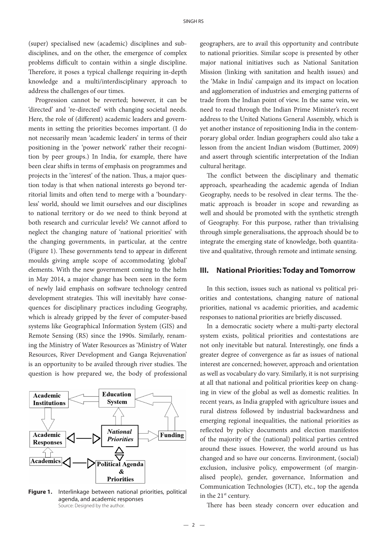(super) specialised new (academic) disciplines and subdisciplines, and on the other, the emergence of complex problems difficult to contain within a single discipline. Therefore, it poses a typical challenge requiring in-depth knowledge and a multi/interdisciplinary approach to address the challenges of our times.

Progression cannot be reverted; however, it can be 'directed' and 're-directed' with changing societal needs. Here, the role of (different) academic leaders and governments in setting the priorities becomes important. (I do not necessarily mean 'academic leaders' in terms of their positioning in the 'power network' rather their recognition by peer groups.) In India, for example, there have been clear shifts in terms of emphasis on programmes and projects in the 'interest' of the nation. Thus, a major question today is that when national interests go beyond territorial limits and often tend to merge with a 'boundaryless' world, should we limit ourselves and our disciplines to national territory or do we need to think beyond at both research and curricular levels? We cannot afford to neglect the changing nature of 'national priorities' with the changing governments, in particular, at the centre (Figure 1). These governments tend to appear in different moulds giving ample scope of accommodating 'global' elements. With the new government coming to the helm in May 2014, a major change has been seen in the form of newly laid emphasis on software technology centred development strategies. This will inevitably have consequences for disciplinary practices including Geography, which is already gripped by the fever of computer-based systems like Geographical Information System (GIS) and Remote Sensing (RS) since the 1990s. Similarly, renaming the Ministry of Water Resources as 'Ministry of Water Resources, River Development and Ganga Rejuvenation' is an opportunity to be availed through river studies. The question is how prepared we, the body of professional



Figure 1. Interlinkage between national priorities, political agenda, and academic responses Source: Designed by the author.

geographers, are to avail this opportunity and contribute to national priorities. Similar scope is presented by other major national initiatives such as National Sanitation Mission (linking with sanitation and health issues) and the 'Make in India' campaign and its impact on location and agglomeration of industries and emerging patterns of trade from the Indian point of view. In the same vein, we need to read through the Indian Prime Minister's recent address to the United Nations General Assembly, which is yet another instance of repositioning India in the contemporary global order. Indian geographers could also take a lesson from the ancient Indian wisdom (Buttimer, 2009) and assert through scientific interpretation of the Indian cultural heritage.

The conflict between the disciplinary and thematic approach, spearheading the academic agenda of Indian Geography, needs to be resolved in clear terms. The thematic approach is broader in scope and rewarding as well and should be promoted with the synthetic strength of Geography. For this purpose, rather than trivialising through simple generalisations, the approach should be to integrate the emerging state of knowledge, both quantitative and qualitative, through remote and intimate sensing.

## **III. National Priorities: Today and Tomorrow**

In this section, issues such as national vs political priorities and contestations, changing nature of national priorities, national vs academic priorities, and academic responses to national priorities are briefly discussed.

In a democratic society where a multi-party electoral system exists, political priorities and contestations are not only inevitable but natural. Interestingly, one finds a greater degree of convergence as far as issues of national interest are concerned; however, approach and orientation as well as vocabulary do vary. Similarly, it is not surprising at all that national and political priorities keep on changing in view of the global as well as domestic realities. In recent years, as India grappled with agriculture issues and rural distress followed by industrial backwardness and emerging regional inequalities, the national priorities as reflected by policy documents and election manifestos of the majority of the (national) political parties centred around these issues. However, the world around us has changed and so have our concerns. Environment, (social) exclusion, inclusive policy, empowerment (of marginalised people), gender, governance, Information and Communication Technologies (ICT), etc., top the agenda in the  $21<sup>st</sup>$  century.

There has been steady concern over education and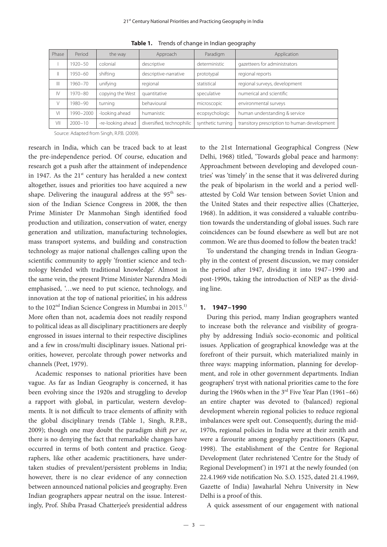| Phase        | Period      | the way           | Approach                  | Paradigm          | Application                                  |
|--------------|-------------|-------------------|---------------------------|-------------------|----------------------------------------------|
|              | 1920-50     | colonial          | descriptive               | deterministic     | gazetteers for administrators                |
| $\parallel$  | 1950-60     | shifting          | descriptive-narrative     | prototypal        | regional reports                             |
| Ш            | 1960–70     | unifying          | regional                  | statistical       | regional surveys, development                |
| $\mathsf{N}$ | $1970 - 80$ | copying the West  | quantitative              | speculative       | numerical and scientific                     |
| V            | 1980-90     | turning           | behavioural               | microscopic       | environmental surveys                        |
| Μ            | 1990-2000   | -looking ahead    | humanistic                | ecopsychologic    | human understanding & service                |
| VII          | $2000 - 10$ | -re-looking ahead | diversified, technophilic | synthetic turning | transitory prescription to human development |

**Table 1.** Trends of change in Indian geography

Source: Adapted from Singh, R.P.B. (2009).

research in India, which can be traced back to at least the pre-independence period. Of course, education and research got a push after the attainment of independence in 1947. As the  $21<sup>st</sup>$  century has heralded a new context altogether, issues and priorities too have acquired a new shape. Delivering the inaugural address at the 95<sup>th</sup> session of the Indian Science Congress in 2008, the then Prime Minister Dr Manmohan Singh identified food production and utilization, conservation of water, energy generation and utilization, manufacturing technologies, mass transport systems, and building and construction technology as major national challenges calling upon the scientific community to apply 'frontier science and technology blended with traditional knowledge'. Almost in the same vein, the present Prime Minister Narendra Modi emphasised, '…we need to put science, technology, and innovation at the top of national priorities', in his address to the 102<sup>nd</sup> Indian Science Congress in Mumbai in 2015.<sup>1)</sup> More often than not, academia does not readily respond to political ideas as all disciplinary practitioners are deeply engrossed in issues internal to their respective disciplines and a few in cross/multi disciplinary issues. National priorities, however, percolate through power networks and channels (Peet, 1979).

Academic responses to national priorities have been vague. As far as Indian Geography is concerned, it has been evolving since the 1920s and struggling to develop a rapport with global, in particular, western developments. It is not difficult to trace elements of affinity with the global disciplinary trends (Table 1, Singh, R.P.B., 2009); though one may doubt the paradigm shift per se, there is no denying the fact that remarkable changes have occurred in terms of both content and practice. Geographers, like other academic practitioners, have undertaken studies of prevalent/persistent problems in India; however, there is no clear evidence of any connection between announced national policies and geography. Even Indian geographers appear neutral on the issue. Interestingly, Prof. Shiba Prasad Chatterjee's presidential address

to the 21st International Geographical Congress (New Delhi, 1968) titled, 'Towards global peace and harmony: Approachment between developing and developed countries' was 'timely' in the sense that it was delivered during the peak of bipolarism in the world and a period wellattested by Cold War tension between Soviet Union and the United States and their respective allies (Chatterjee, 1968). In addition, it was considered a valuable contribution towards the understanding of global issues. Such rare coincidences can be found elsewhere as well but are not common. We are thus doomed to follow the beaten track!

To understand the changing trends in Indian Geography in the context of present discussion, we may consider the period after 1947, dividing it into  $1947-1990$  and post-1990s, taking the introduction of NEP as the dividing line.

#### **1. 1947–1990**

During this period, many Indian geographers wanted to increase both the relevance and visibility of geography by addressing India's socio-economic and political issues. Application of geographical knowledge was at the forefront of their pursuit, which materialized mainly in three ways: mapping information, planning for development, and role in other government departments. Indian geographers' tryst with national priorities came to the fore during the 1960s when in the  $3<sup>rd</sup>$  Five Year Plan (1961–66) an entire chapter was devoted to (balanced) regional development wherein regional policies to reduce regional imbalances were spelt out. Consequently, during the mid-1970s, regional policies in India were at their zenith and were a favourite among geography practitioners (Kapur, 1998). The establishment of the Centre for Regional Development (later rechristened 'Centre for the Study of Regional Development') in 1971 at the newly founded (on 22.4.1969 vide notification No. S.O. 1525, dated 21.4.1969, Gazette of India) Jawaharlal Nehru University in New Delhi is a proof of this.

A quick assessment of our engagement with national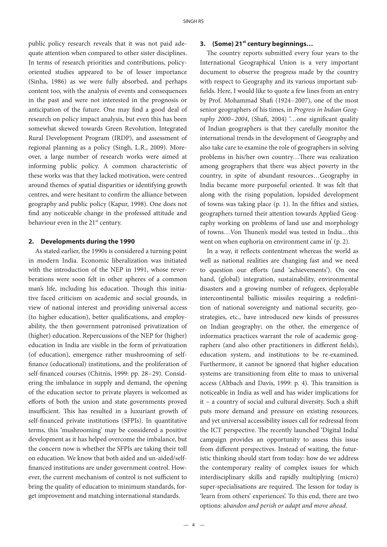public policy research reveals that it was not paid adequate attention when compared to other sister disciplines. In terms of research priorities and contributions, policyoriented studies appeared to be of lesser importance (Sinha, 1986) as we were fully absorbed, and perhaps content too, with the analysis of events and consequences in the past and were not interested in the prognosis or anticipation of the future. One may find a good deal of research on policy impact analysis, but even this has been somewhat skewed towards Green Revolution, Integrated Rural Development Program (IRDP), and assessment of regional planning as a policy (Singh, L.R., 2009). Moreover, a large number of research works were aimed at informing public policy. A common characteristic of these works was that they lacked motivation, were centred around themes of spatial disparities or identifying growth centres, and were hesitant to confirm the alliance between geography and public policy (Kapur, 1998). One does not find any noticeable change in the professed attitude and behaviour even in the 21<sup>st</sup> century.

#### **2. Developments during the 1990**

As stated earlier, the 1990s is considered a turning point in modern India. Economic liberalization was initiated with the introduction of the NEP in 1991, whose reverberations were soon felt in other spheres of a common man's life, including his education. Though this initiative faced criticism on academic and social grounds, in view of national interest and providing universal access (to higher education), better qualifications, and employability, the then government patronised privatization of (higher) education. Repercussions of the NEP for (higher) education in India are visible in the form of privatization (of education), emergence rather mushrooming of self finance (educational) institutions, and the proliferation of self-financed courses (Chitnis, 1999: pp. 28-29). Considering the imbalance in supply and demand, the opening of the education sector to private players is welcomed as efforts of both the union and state governments proved insufficient. This has resulted in a luxuriant growth of self-financed private institutions (SFPIs). In quantitative terms, this 'mushrooming' may be considered a positive development as it has helped overcome the imbalance, but the concern now is whether the SFPIs are taking their toll on education. We know that both aided and un-aided/self nanced institutions are under government control. However, the current mechanism of control is not sufficient to bring the quality of education to minimum standards, forget improvement and matching international standards.

#### **3. (Some) 21st century beginnings…**

The country reports submitted every four years to the International Geographical Union is a very important document to observe the progress made by the country with respect to Geography and its various important sub fields. Here, I would like to quote a few lines from an entry by Prof. Mohammad Shafi (1924–2007), one of the most senior geographers of his times, in *Progress in Indian Geography 2000–2004*, (Shafi, 2004) '...one significant quality of Indian geographers is that they carefully monitor the international trends in the development of Geography and also take care to examine the role of geographers in solving problems in his/her own country...There was realization among geographers that there was abject poverty in the country, in spite of abundant resources…Geography in India became more purposeful oriented. It was felt that along with the rising population, lopsided development of towns was taking place  $(p, 1)$ . In the fifties and sixties, geographers turned their attention towards Applied Geography working on problems of land use and morphology of towns...Von Thunen's model was tested in India…this went on when euphoria on environment came in' (p. 2).

In a way, it reflects contentment whereas the world as well as national realities are changing fast and we need to question our efforts (and 'achievements'). On one hand, (global) integration, sustainability, environmental disasters and a growing number of refugees, deployable intercontinental ballistic missiles requiring a redefinition of national sovereignty and national security, geostrategies, etc., have introduced new kinds of pressures on Indian geography; on the other, the emergence of informatics practices warrant the role of academic geographers (and also other practitioners in different fields), education system, and institutions to be re-examined. Furthermore, it cannot be ignored that higher education systems are transitioning from elite to mass to universal access (Altbach and Davis, 1999: p. 4). This transition is noticeable in India as well and has wider implications for it – a country of social and cultural diversity. Such a shi puts more demand and pressure on existing resources, and yet universal accessibility issues call for redressal from the ICT perspective. The recently launched 'Digital India' campaign provides an opportunity to assess this issue from different perspectives. Instead of waiting, the futuristic thinking should start from today: how do we address the contemporary reality of complex issues for which interdisciplinary skills and rapidly multiplying (micro) super-specialisations are required. The lesson for today is 'learn from others' experiences'. To this end, there are two options: a*bandon and perish or adapt and move ahead*.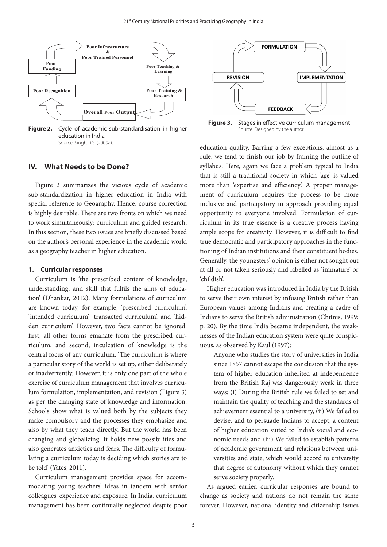

**Figure 2.** Cycle of academic sub-standardisation in higher Source: Designed by the author. education in India Source: Singh, R.S. (2009a).

## **IV. What Needs to be Done?**

Figure 2 summarizes the vicious cycle of academic sub-standardization in higher education in India with special reference to Geography. Hence, course correction is highly desirable. There are two fronts on which we need to work simultaneously: curriculum and guided research. In this section, these two issues are briefly discussed based on the author's personal experience in the academic world as a geography teacher in higher education.

#### **1. Curricular responses**

Curriculum is 'the prescribed content of knowledge, understanding, and skill that fulfils the aims of education' (Dhankar, 2012). Many formulations of curriculum are known today, for example, 'prescribed curriculum', 'intended curriculum', 'transacted curriculum', and 'hidden curriculum'. However, two facts cannot be ignored: first, all other forms emanate from the prescribed curriculum, and second, inculcation of knowledge is the central focus of any curriculum. 'The curriculum is where a particular story of the world is set up, either deliberately or inadvertently. However, it is only one part of the whole exercise of curriculum management that involves curriculum formulation, implementation, and revision (Figure 3) as per the changing state of knowledge and information. Schools show what is valued both by the subjects they make compulsory and the processes they emphasize and also by what they teach directly. But the world has been changing and globalizing. It holds new possibilities and also generates anxieties and fears. The difficulty of formulating a curriculum today is deciding which stories are to be told' (Yates, 2011).

Curriculum management provides space for accommodating young teachers' ideas in tandem with senior colleagues' experience and exposure. In India, curriculum management has been continually neglected despite poor



**Figure 3.** Stages in effective curriculum management

education quality. Barring a few exceptions, almost as a rule, we tend to finish our job by framing the outline of syllabus. Here, again we face a problem typical to India that is still a traditional society in which 'age' is valued more than 'expertise and efficiency'. A proper management of curriculum requires the process to be more inclusive and participatory in approach providing equal opportunity to everyone involved. Formulation of curriculum in its true essence is a creative process having ample scope for creativity. However, it is difficult to find true democratic and participatory approaches in the functioning of Indian institutions and their constituent bodies. Generally, the youngsters' opinion is either not sought out at all or not taken seriously and labelled as 'immature' or 'childish'.

Higher education was introduced in India by the British to serve their own interest by infusing British rather than European values among Indians and creating a cadre of Indians to serve the British administration (Chitnis, 1999: p. 20). By the time India became independent, the weaknesses of the Indian education system were quite conspicuous, as observed by Kaul (1997):

Anyone who studies the story of universities in India since 1857 cannot escape the conclusion that the system of higher education inherited at independence from the British Raj was dangerously weak in three ways: (i) During the British rule we failed to set and maintain the quality of teaching and the standards of achievement essential to a university, (ii) We failed to devise, and to persuade Indians to accept, a content of higher education suited to India's social and economic needs and (iii) We failed to establish patterns of academic government and relations between universities and state, which would accord to university that degree of autonomy without which they cannot serve society properly.

As argued earlier, curricular responses are bound to change as society and nations do not remain the same forever. However, national identity and citizenship issues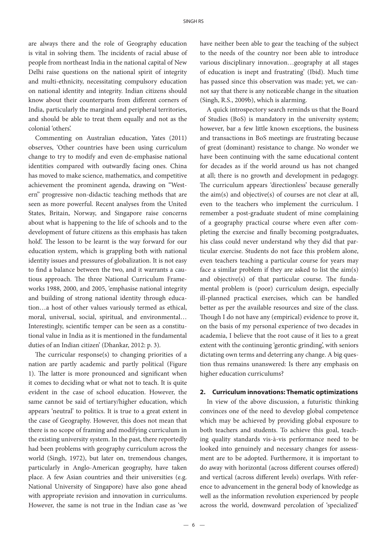are always there and the role of Geography education is vital in solving them. The incidents of racial abuse of people from northeast India in the national capital of New Delhi raise questions on the national spirit of integrity and multi-ethnicity, necessitating compulsory education on national identity and integrity. Indian citizens should know about their counterparts from different corners of India, particularly the marginal and peripheral territories, and should be able to treat them equally and not as the colonial 'others'.

Commenting on Australian education, Yates (2011) observes, 'Other countries have been using curriculum change to try to modify and even de-emphasise national identities compared with outwardly facing ones. China has moved to make science, mathematics, and competitive achievement the prominent agenda, drawing on "Western'' progressive non-didactic teaching methods that are seen as more powerful. Recent analyses from the United States, Britain, Norway, and Singapore raise concerns about what is happening to the life of schools and to the development of future citizens as this emphasis has taken hold'. The lesson to be learnt is the way forward for our education system, which is grappling both with national identity issues and pressures of globalization. It is not easy to find a balance between the two, and it warrants a cautious approach. The three National Curriculum Frameworks 1988, 2000, and 2005, 'emphasise national integrity and building of strong national identity through education…a host of other values variously termed as ethical, moral, universal, social, spiritual, and environmental… Interestingly, scientific temper can be seen as a constitutional value in India as it is mentioned in the fundamental duties of an Indian citizen' (Dhankar, 2012: p. 3).

The curricular response(s) to changing priorities of a nation are partly academic and partly political (Figure 1). The latter is more pronounced and significant when it comes to deciding what or what not to teach. It is quite evident in the case of school education. However, the same cannot be said of tertiary/higher education, which appears 'neutral' to politics. It is true to a great extent in the case of Geography. However, this does not mean that there is no scope of framing and modifying curriculum in the existing university system. In the past, there reportedly had been problems with geography curriculum across the world (Singh, 1972), but later on, tremendous changes, particularly in Anglo-American geography, have taken place. A few Asian countries and their universities (e.g. National University of Singapore) have also gone ahead with appropriate revision and innovation in curriculums. However, the same is not true in the Indian case as 'we

have neither been able to gear the teaching of the subject to the needs of the country nor been able to introduce various disciplinary innovation…geography at all stages of education is inept and frustrating' (Ibid). Much time has passed since this observation was made; yet, we cannot say that there is any noticeable change in the situation (Singh, R.S., 2009b), which is alarming.

A quick introspectory search reminds us that the Board of Studies (BoS) is mandatory in the university system; however, bar a few little known exceptions, the business and transactions in BoS meetings are frustrating because of great (dominant) resistance to change. No wonder we have been continuing with the same educational content for decades as if the world around us has not changed at all; there is no growth and development in pedagogy. The curriculum appears 'directionless' because generally the aim(s) and objective(s) of courses are not clear at all, even to the teachers who implement the curriculum. I remember a post-graduate student of mine complaining of a geography practical course where even after completing the exercise and finally becoming postgraduates, his class could never understand why they did that particular exercise. Students do not face this problem alone, even teachers teaching a particular course for years may face a similar problem if they are asked to list the aim(s) and objective $(s)$  of that particular course. The fundamental problem is (poor) curriculum design, especially ill-planned practical exercises, which can be handled better as per the available resources and size of the class. Though I do not have any (empirical) evidence to prove it, on the basis of my personal experience of two decades in academia, I believe that the root cause of it lies to a great extent with the continuing 'gerontic grinding', with seniors dictating own terms and deterring any change. A big question thus remains unanswered: Is there any emphasis on higher education curriculums?

#### **2. Curriculum innovations: Thematic optimizations**

In view of the above discussion, a futuristic thinking convinces one of the need to develop global competence which may be achieved by providing global exposure to both teachers and students. To achieve this goal, teaching quality standards vis-à-vis performance need to be looked into genuinely and necessary changes for assessment are to be adopted. Furthermore, it is important to do away with horizontal (across different courses offered) and vertical (across different levels) overlaps. With reference to advancement in the general body of knowledge as well as the information revolution experienced by people across the world, downward percolation of 'specialized'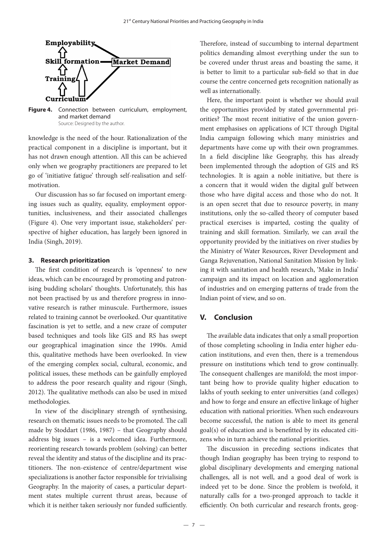

**Figure 4.** Connection between curriculum, employment, and market demand Source: Designed by the author.

knowledge is the need of the hour. Rationalization of the practical component in a discipline is important, but it has not drawn enough attention. All this can be achieved only when we geography practitioners are prepared to let go of 'initiative fatigue' through self-realisation and selfmotivation.

Our discussion has so far focused on important emerging issues such as quality, equality, employment opportunities, inclusiveness, and their associated challenges (Figure 4). One very important issue, stakeholders' perspective of higher education, has largely been ignored in India (Singh, 2019).

#### **3. Research prioritization**

The first condition of research is 'openness' to new ideas, which can be encouraged by promoting and patronising budding scholars' thoughts. Unfortunately, this has not been practised by us and therefore progress in innovative research is rather minuscule. Furthermore, issues related to training cannot be overlooked. Our quantitative fascination is yet to settle, and a new craze of computer based techniques and tools like GIS and RS has swept our geographical imagination since the 1990s. Amid this, qualitative methods have been overlooked. In view of the emerging complex social, cultural, economic, and political issues, these methods can be gainfully employed to address the poor research quality and rigour (Singh, 2012). The qualitative methods can also be used in mixed methodologies.

In view of the disciplinary strength of synthesising, research on thematic issues needs to be promoted. The call made by Stoddart (1986, 1987) – that Geography should address big issues – is a welcomed idea. Furthermore, reorienting research towards problem (solving) can better reveal the identity and status of the discipline and its practitioners. The non-existence of centre/department wise specializations is another factor responsible for trivialising Geography. In the majority of cases, a particular department states multiple current thrust areas, because of which it is neither taken seriously nor funded sufficiently.

Therefore, instead of succumbing to internal department politics demanding almost everything under the sun to be covered under thrust areas and boasting the same, it is better to limit to a particular sub-field so that in due course the centre concerned gets recognition nationally as well as internationally.

Here, the important point is whether we should avail the opportunities provided by stated governmental priorities? The most recent initiative of the union government emphasises on applications of ICT through Digital India campaign following which many ministries and departments have come up with their own programmes. In a field discipline like Geography, this has already been implemented through the adoption of GIS and RS technologies. It is again a noble initiative, but there is a concern that it would widen the digital gulf between those who have digital access and those who do not. It is an open secret that due to resource poverty, in many institutions, only the so-called theory of computer based practical exercises is imparted, costing the quality of training and skill formation. Similarly, we can avail the opportunity provided by the initiatives on river studies by the Ministry of Water Resources, River Development and Ganga Rejuvenation, National Sanitation Mission by linking it with sanitation and health research, 'Make in India' campaign and its impact on location and agglomeration of industries and on emerging patterns of trade from the Indian point of view, and so on.

## **V. Conclusion**

The available data indicates that only a small proportion of those completing schooling in India enter higher education institutions, and even then, there is a tremendous pressure on institutions which tend to grow continually. The consequent challenges are manifold; the most important being how to provide quality higher education to lakhs of youth seeking to enter universities (and colleges) and how to forge and ensure an effective linkage of higher education with national priorities. When such endeavours become successful, the nation is able to meet its general goal(s) of education and is benefitted by its educated citizens who in turn achieve the national priorities.

The discussion in preceding sections indicates that though Indian geography has been trying to respond to global disciplinary developments and emerging national challenges, all is not well, and a good deal of work is indeed yet to be done. Since the problem is twofold, it naturally calls for a two-pronged approach to tackle it efficiently. On both curricular and research fronts, geog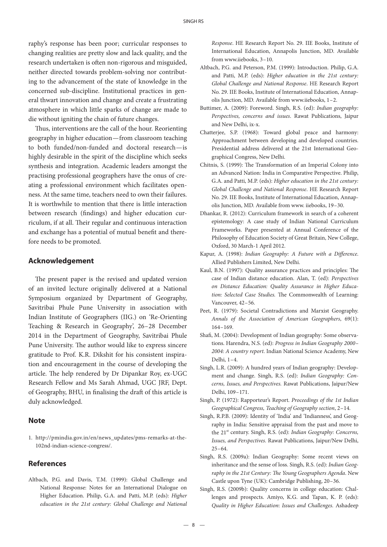raphy's response has been poor; curricular responses to changing realities are pretty slow and lack quality, and the research undertaken is often non-rigorous and misguided, neither directed towards problem-solving nor contributing to the advancement of the state of knowledge in the concerned sub-discipline. Institutional practices in general thwart innovation and change and create a frustrating atmosphere in which little sparks of change are made to die without igniting the chain of future changes.

Thus, interventions are the call of the hour. Reorienting geography in higher education—from classroom teaching to both funded/non-funded and doctoral research—is highly desirable in the spirit of the discipline which seeks synthesis and integration. Academic leaders amongst the practising professional geographers have the onus of creating a professional environment which facilitates openness. At the same time, teachers need to own their failures. It is worthwhile to mention that there is little interaction between research (findings) and higher education curriculum, if at all. Their regular and continuous interaction and exchange has a potential of mutual benefit and therefore needs to be promoted.

### **Acknowledgement**

The present paper is the revised and updated version of an invited lecture originally delivered at a National Symposium organized by Department of Geography, Savitribai Phule Pune University in association with Indian Institute of Geographers (IIG.) on 'Re-Orienting Teaching & Research in Geography', 26–28 December 2014 in the Department of Geography, Savitribai Phule Pune University. The author would like to express sincere gratitude to Prof. K.R. Dikshit for his consistent inspiration and encouragement in the course of developing the article. The help rendered by Dr Dipankar Roy, ex-UGC Research Fellow and Ms Sarah Ahmad, UGC JRF, Dept. of Geography, BHU, in finalising the draft of this article is duly acknowledged.

#### **Note**

1. http://pmindia.gov.in/en/news\_updates/pms-remarks-at-the-102nd-indian-science-congress/.

### **References**

Altbach, P.G. and Davis, T.M. (1999): Global Challenge and National Response: Notes for an International Dialogue on Higher Education. Philip, G.A. and Patti, M.P. (eds): *Higher education in the 21st century: Global Challenge and National*  *Response*. HE Research Report No. 29. IIE Books, Institute of International Education, Annapolis Junction, MD. Available from www.iiebooks, 3–10.

- Altbach, P.G. and Peterson, P.M. (1999): Introduction. Philip, G.A. and Patti, M.P. (eds): *Higher education in the 21st century: Global Challenge and National Response*. HE Research Report No. 29. IIE Books, Institute of International Education, Annapolis Junction, MD. Available from www.iiebooks, 1–2.
- Buttimer, A. (2009): Foreword. Singh, R.S. (ed): *Indian geography: Perspectives, concerns and issues*. Rawat Publications, Jaipur and New Delhi, ix-x.
- Chatterjee, S.P. (1968): Toward global peace and harmony: Approachment between developing and developed countries. Presidential address delivered at the 21st International Geographical Congress, New Delhi.
- Chitnis, S. (1999): The Transformation of an Imperial Colony into an Advanced Nation: India in Comparative Perspective. Philip, G.A. and Patti, M.P. (eds): *Higher education in the 21st century: Global Challenge and National Response*. HE Research Report No. 29. IIE Books, Institute of International Education, Annapolis Junction, MD. Available from www. iiebooks, 19–30.
- Dhankar, R. (2012): Curriculum framework in search of a coherent epistemology: A case study of Indian National Curriculum Frameworks. Paper presented at Annual Conference of the Philosophy of Education Society of Great Britain, New College, Oxford, 30 March-1 April 2012.
- Kapur, A. (1998): *Indian Geography: A Future with a Difference*. Allied Publishers Limited, New Delhi.
- Kaul, B.N. (1997): Quality assurance practices and principles: The case of Indian distance education. Alan, T. (ed): *Perspectives on Distance Education: Quality Assurance in Higher Educa*tion: Selected Case Studies. The Commonwealth of Learning: Vancouver, 42–56.
- Peet, R. (1979): Societal Contradictions and Marxist Geography. *Annals of the Association of American Geographers*, 69(1): 164–169.
- Shafi, M. (2004): Development of Indian geography: Some observations. Harendra, N.S. (ed): *Progress in Indian Geography 2000– 2004: A country report*. Indian National Science Academy, New Delhi, 1–4.
- Singh, L.R. (2009): A hundred years of Indian geography: Development and change. Singh, R.S. (ed): *Indian Geography: Concerns, Issues, and Perspectives.* Rawat Publications, Jaipur/New Delhi, 109–171.
- Singh, P. (1972): Rapporteur's Report. *Proceedings of the 1st Indian Geographical Congress, Teaching of Geography section*, 2–14.
- Singh, R.P.B. (2009): Identity of 'India' and 'Indianness', and Geography in India: Sensitive appraisal from the past and move to the 21<sup>st</sup> century. Singh, R.S. (ed): *Indian Geography: Concerns*, *Issues, and Perspectives.* Rawat Publications, Jaipur/New Delhi,  $25 - 64.$
- Singh, R.S. (2009a): Indian Geography: Some recent views on inheritance and the sense of loss. Singh, R.S. (ed): *Indian Geog*raphy in the 21st Century: The Young Geographers Agenda. New Castle upon Tyne (UK): Cambridge Publishing, 20–36.
- Singh, R.S. (2009b): Quality concerns in college education: Challenges and prospects. Amiyo, K.G. and Tapan, K. P. (eds): *Quality in Higher Education*: *Issues and Challenges.* Ashadeep